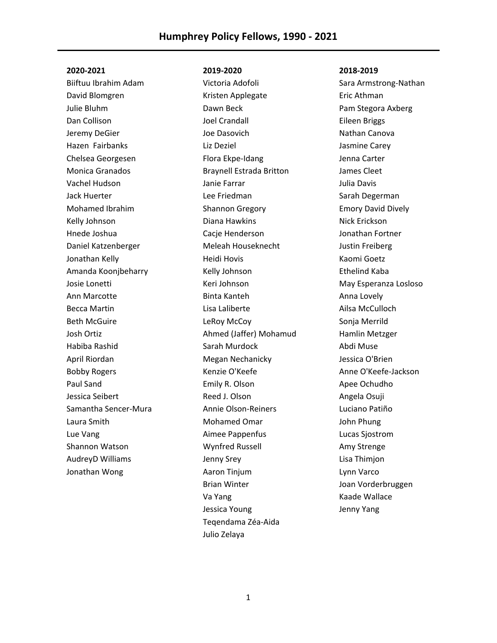Biiftuu Ibrahim Adam David Blomgren Julie Bluhm Dan Collison Jeremy DeGier Hazen Fairbanks Chelsea Georgesen Monica Granados Vachel Hudson Jack Huerter Mohamed Ibrahim Kelly Johnson Hnede Joshua Daniel Katzenberger Jonathan Kelly Amanda Koonjbeharry Josie Lonetti Ann Marcotte Becca Martin Beth McGuire Josh Ortiz Habiba Rashid April Riordan Bobby Rogers Paul Sand Jessica Seibert Samantha Sencer-Mura Laura Smith Lue Vang Shannon Watson AudreyD Williams Jonathan Wong

## **2019-2020**

Victoria Adofoli Kristen Applegate Dawn Beck Joel Crandall Joe Dasovich Liz Deziel Flora Ekpe-Idang Braynell Estrada Britton Janie Farrar Lee Friedman Shannon Gregory Diana Hawkins Cacie Henderson Meleah Houseknecht Heidi Hovis Kelly Johnson Keri Johnson Binta Kanteh Lisa Laliberte LeRoy McCoy Ahmed (Jaffer) Mohamud Sarah Murdock Megan Nechanicky Kenzie O'Keefe Emily R. Olson Reed J. Olson Annie Olson-Reiners Mohamed Omar Aimee Pappenfus Wynfred Russell Jenny Srey Aaron Tinjum Brian Winter Va Yang Jessica Young Teqendama Zéa-Aida Julio Zelaya

## **2018-2019**

Sara Armstrong-Nathan Eric Athman Pam Stegora Axberg Eileen Briggs Nathan Canova Jasmine Carey Jenna Carter James Cleet Julia Davis Sarah Degerman Emory David Dively Nick Erickson Jonathan Fortner Justin Freiberg Kaomi Goetz Ethelind Kaba May Esperanza Losloso Anna Lovely Ailsa McCulloch Sonja Merrild Hamlin Metzger Abdi Muse Jessica O'Brien Anne O'Keefe-Jackson Apee Ochudho Angela Osuji Luciano Patiño John Phung Lucas Sjostrom Amy Strenge Lisa Thimjon Lynn Varco Joan Vorderbruggen Kaade Wallace Jenny Yang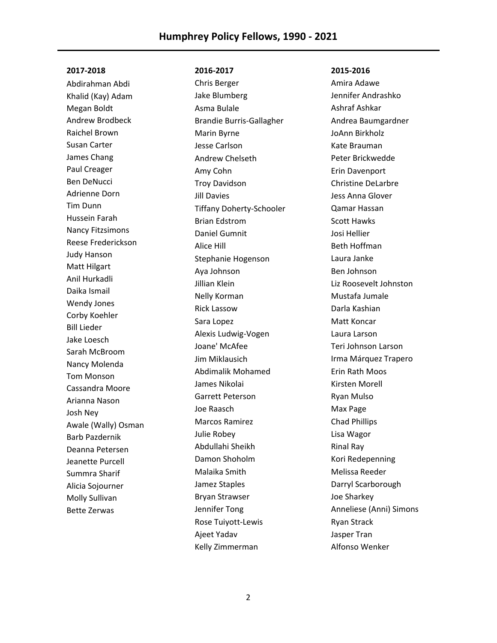Abdirahman Abdi Khalid (Kay) Adam Megan Boldt Andrew Brodbeck Raichel Brown Susan Carter James Chang Paul Creager Ben DeNucci Adrienne Dorn Tim Dunn Hussein Farah Nancy Fitzsimons Reese Frederickson Judy Hanson Matt Hilgart Anil Hurkadli Daika Ismail Wendy Jones Corby Koehler Bill Lieder Jake Loesch Sarah McBroom Nancy Molenda Tom Monson Cassandra Moore Arianna Nason Josh Ney Awale (Wally) Osman Barb Pazdernik Deanna Petersen Jeanette Purcell Summra Sharif Alicia Sojourner Molly Sullivan Bette Zerwas

## **2016-2017**

Chris Berger Jake Blumberg Asma Bulale Brandie Burris-Gallagher Marin Byrne Jesse Carlson Andrew Chelseth Amy Cohn Troy Davidson Jill Davies Tiffany Doherty-Schooler Brian Edstrom Daniel Gumnit Alice Hill Stephanie Hogenson Aya Johnson Jillian Klein Nelly Korman Rick Lassow Sara Lopez Alexis Ludwig-Vogen Joane' McAfee Jim Miklausich Abdimalik Mohamed James Nikolai Garrett Peterson Joe Raasch Marcos Ramirez Julie Robey Abdullahi Sheikh Damon Shoholm Malaika Smith Jamez Staples Bryan Strawser Jennifer Tong Rose Tuiyott-Lewis Ajeet Yadav Kelly Zimmerman

### **2015-2016**

Amira Adawe Jennifer Andrashko Ashraf Ashkar Andrea Baumgardner JoAnn Birkholz Kate Brauman Peter Brickwedde Erin Davenport Christine DeLarbre Jess Anna Glover Qamar Hassan Scott Hawks Josi Hellier Beth Hoffman Laura Janke Ben Johnson Liz Roosevelt Johnston Mustafa Jumale Darla Kashian Matt Koncar Laura Larson Teri Johnson Larson Irma Márquez Trapero Erin Rath Moos Kirsten Morell Ryan Mulso Max Page Chad Phillips Lisa Wagor Rinal Ray Kori Redepenning Melissa Reeder Darryl Scarborough Joe Sharkey Anneliese (Anni) Simons Ryan Strack Jasper Tran Alfonso Wenker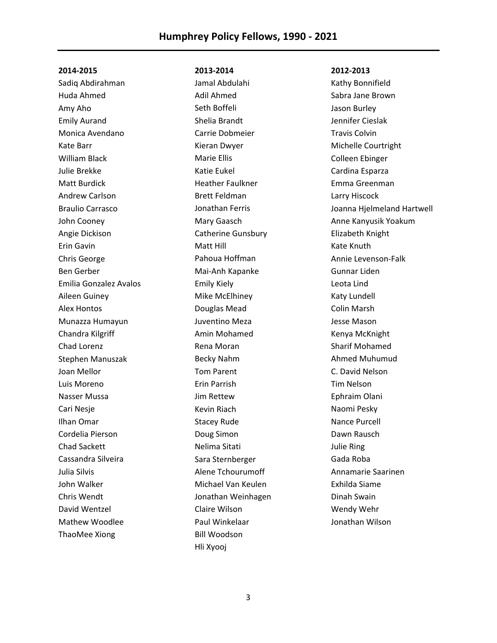Sadiq Abdirahman Huda Ahmed Amy Aho Emily Aurand Monica Avendano Kate Barr William Black Julie Brekke Matt Burdick Andrew Carlson Braulio Carrasco John Cooney Angie Dickison Erin Gavin Chris George Ben Gerber Emilia Gonzalez Avalos Aileen Guiney Alex Hontos Munazza Humayun Chandra Kilgriff Chad Lorenz Stephen Manuszak Joan Mellor Luis Moreno Nasser Mussa Cari Nesje Ilhan Omar Cordelia Pierson Chad Sackett Cassandra Silveira Julia Silvis John Walker Chris Wendt David Wentzel Mathew Woodlee ThaoMee Xiong

## **2013-2014**

Jamal Abdulahi Adil Ahmed Seth Boffeli Shelia Brandt Carrie Dobmeier Kieran Dwyer Marie Ellis Katie Eukel Heather Faulkner Brett Feldman Jonathan Ferris Mary Gaasch Catherine Gunsbury Matt Hill Pahoua Hoffman Mai-Anh Kapanke Emily Kiely Mike McElhiney Douglas Mead Juventino Meza Amin Mohamed Rena Moran Becky Nahm Tom Parent Erin Parrish Jim Rettew Kevin Riach Stacey Rude Doug Simon Nelima Sitati Sara Sternberger Alene Tchourumoff Michael Van Keulen Jonathan Weinhagen Claire Wilson Paul Winkelaar Bill Woodson Hli Xyooj

#### **2012-2013**

Kathy Bonnifield Sabra Jane Brown Jason Burley Jennifer Cieslak Travis Colvin Michelle Courtright Colleen Ebinger Cardina Esparza Emma Greenman Larry Hiscock Joanna Hjelmeland Hartwell Anne Kanyusik Yoakum Elizabeth Knight Kate Knuth Annie Levenson-Falk Gunnar Liden Leota Lind Katy Lundell Colin Marsh Jesse Mason Kenya McKnight Sharif Mohamed Ahmed Muhumud C. David Nelson Tim Nelson Ephraim Olani Naomi Pesky Nance Purcell Dawn Rausch Julie Ring Gada Roba Annamarie Saarinen Exhilda Siame Dinah Swain Wendy Wehr Jonathan Wilson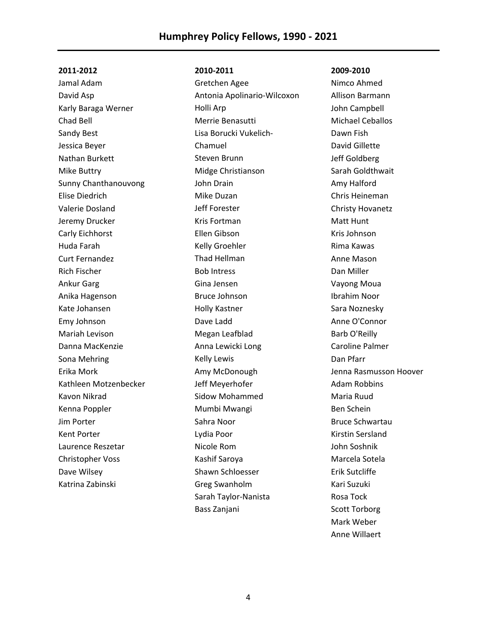Jamal Adam David Asp Karly Baraga Werner Chad Bell Sandy Best Jessica Beyer Nathan Burkett Mike Buttry Sunny Chanthanouvong Elise Diedrich Valerie Dosland Jeremy Drucker Carly Eichhorst Huda Farah Curt Fernandez Rich Fischer Ankur Garg Anika Hagenson Kate Johansen Emy Johnson Mariah Levison Danna MacKenzie Sona Mehring Erika Mork Kathleen Motzenbecker Kavon Nikrad Kenna Poppler Jim Porter Kent Porter Laurence Reszetar Christopher Voss Dave Wilsey Katrina Zabinski

## **2010-2011**

Gretchen Agee Antonia Apolinario-Wilcoxon Holli Arp Merrie Benasutti Lisa Borucki Vukelich-Chamuel Steven Brunn Midge Christianson John Drain Mike Duzan Jeff Forester Kris Fortman Ellen Gibson Kelly Groehler Thad Hellman Bob Intress Gina Jensen Bruce Johnson Holly Kastner Dave Ladd Megan Leafblad Anna Lewicki Long Kelly Lewis Amy McDonough Jeff Meyerhofer Sidow Mohammed Mumbi Mwangi Sahra Noor Lydia Poor Nicole Rom Kashif Saroya Shawn Schloesser Greg Swanholm Sarah Taylor-Nanista Bass Zanjani

#### **2009-2010**

Nimco Ahmed Allison Barmann John Campbell Michael Ceballos Dawn Fish David Gillette Jeff Goldberg Sarah Goldthwait Amy Halford Chris Heineman Christy Hovanetz Matt Hunt Kris Johnson Rima Kawas Anne Mason Dan Miller Vayong Moua Ibrahim Noor Sara Noznesky Anne O'Connor Barb O'Reilly Caroline Palmer Dan Pfarr Jenna Rasmusson Hoover Adam Robbins Maria Ruud Ben Schein Bruce Schwartau Kirstin Sersland John Soshnik Marcela Sotela Erik Sutcliffe Kari Suzuki Rosa Tock Scott Torborg Mark Weber Anne Willaert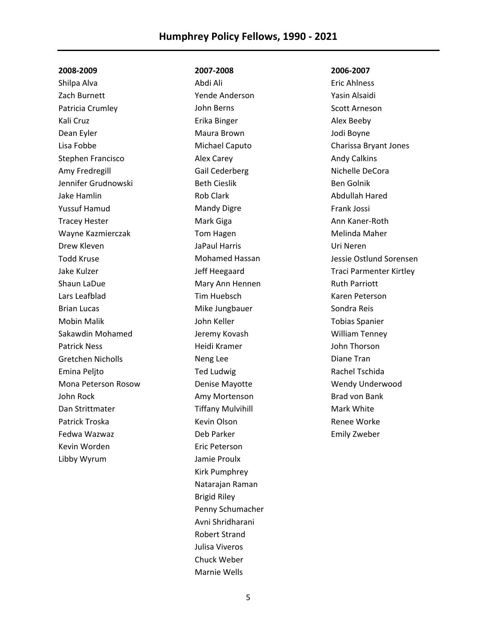# **Humphrey Policy Fellows, 1990 - 2021**

#### **2008-2009**

Shilpa Alva Zach Burnett Patricia Crumley Kali Cruz Dean Eyler Lisa Fobbe Stephen Francisco Amy Fredregill Jennifer Grudnowski Jake Hamlin Yussuf Hamud Tracey Hester Wayne Kazmierczak Drew Kleven Todd Kruse Jake Kulzer Shaun LaDue Lars Leafblad Brian Lucas Mobin Malik Sakawdin Mohamed Patrick Ness Gretchen Nicholls Emina Peljto Mona Peterson Rosow John Rock Dan Strittmater Patrick Troska Fedwa Wazwaz Kevin Worden Libby Wyrum

**2007-2008**

Abdi Ali Yende Anderson John Berns Erika Binger Maura Brown Michael Caputo Alex Carey Gail Cederberg Beth Cieslik Rob Clark Mandy Digre Mark Giga Tom Hagen JaPaul Harris Mohamed Hassan Jeff Heegaard Mary Ann Hennen Tim Huebsch Mike Jungbauer John Keller Jeremy Kovash Heidi Kramer Neng Lee Ted Ludwig Denise Mayotte Amy Mortenson Tiffany Mulvihill Kevin Olson Deb Parker Eric Peterson Jamie Proulx Kirk Pumphrey Natarajan Raman Brigid Riley Penny Schumacher Avni Shridharani Robert Strand Julisa Viveros Chuck Weber Marnie Wells

#### **2006-2007**

Eric Ahlness Yasin Alsaidi Scott Arneson Alex Beeby Jodi Boyne Charissa Bryant Jones Andy Calkins Nichelle DeCora Ben Golnik Abdullah Hared Frank Jossi Ann Kaner-Roth Melinda Maher Uri Neren Jessie Ostlund Sorensen Traci Parmenter Kirtley Ruth Parriott Karen Peterson Sondra Reis Tobias Spanier William Tenney John Thorson Diane Tran Rachel Tschida Wendy Underwood Brad von Bank Mark White Renee Worke Emily Zweber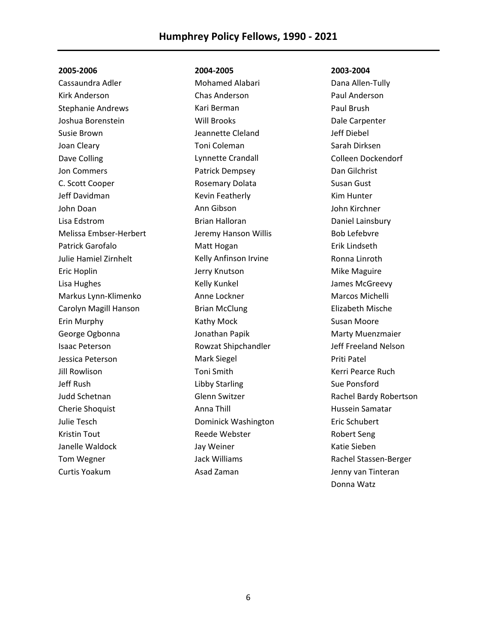Cassaundra Adler Kirk Anderson Stephanie Andrews Joshua Borenstein Susie Brown Joan Cleary Dave Colling Jon Commers C. Scott Cooper Jeff Davidman John Doan Lisa Edstrom Melissa Embser-Herbert Patrick Garofalo Julie Hamiel Zirnhelt Eric Hoplin Lisa Hughes Markus Lynn-Klimenko Carolyn Magill Hanson Erin Murphy George Ogbonna Isaac Peterson Jessica Peterson Jill Rowlison Jeff Rush Judd Schetnan Cherie Shoquist Julie Tesch Kristin Tout Janelle Waldock Tom Wegner Curtis Yoakum

## **2004-2005**

Mohamed Alabari Chas Anderson Kari Berman Will Brooks Jeannette Cleland Toni Coleman Lynnette Crandall Patrick Dempsey Rosemary Dolata Kevin Featherly Ann Gibson Brian Halloran Jeremy Hanson Willis Matt Hogan Kelly Anfinson Irvine Jerry Knutson Kelly Kunkel Anne Lockner Brian McClung Kathy Mock Jonathan Papik Rowzat Shipchandler Mark Siegel Toni Smith Libby Starling Glenn Switzer Anna Thill Dominick Washington Reede Webster Jay Weiner Jack Williams Asad Zaman

#### **2003-2004**

Dana Allen-Tully Paul Anderson Paul Brush Dale Carpenter Jeff Diebel Sarah Dirksen Colleen Dockendorf Dan Gilchrist Susan Gust Kim Hunter John Kirchner Daniel Lainsbury Bob Lefebvre Erik Lindseth Ronna Linroth Mike Maguire James McGreevy Marcos Michelli Elizabeth Mische Susan Moore Marty Muenzmaier Jeff Freeland Nelson Priti Patel Kerri Pearce Ruch Sue Ponsford Rachel Bardy Robertson Hussein Samatar Eric Schubert Robert Seng Katie Sieben Rachel Stassen-Berger Jenny van Tinteran Donna Watz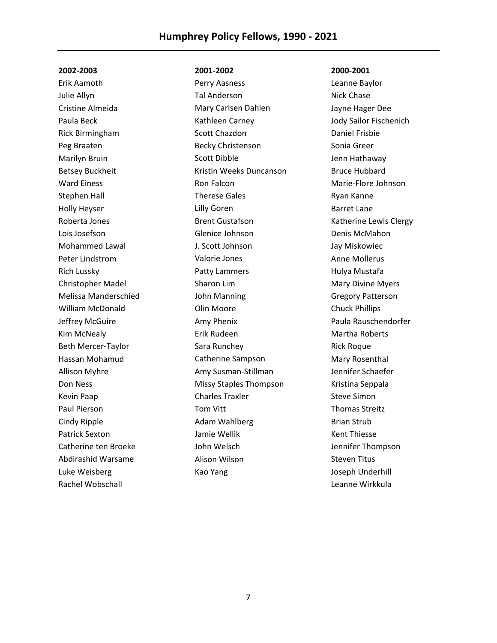Erik Aamoth Julie Allyn Cristine Almeida Paula Beck Rick Birmingham Peg Braaten Marilyn Bruin Betsey Buckheit Ward Einess Stephen Hall Holly Heyser Roberta Jones Lois Josefson Mohammed Lawal Peter Lindstrom Rich Lussky Christopher Madel Melissa Manderschied William McDonald Jeffrey McGuire Kim McNealy Beth Mercer-Taylor Hassan Mohamud Allison Myhre Don Ness Kevin Paap Paul Pierson Cindy Ripple Patrick Sexton Catherine ten Broeke Abdirashid Warsame Luke Weisberg Rachel Wobschall

## **2001-2002**

Perry Aasness Tal Anderson Mary Carlsen Dahlen Kathleen Carney Scott Chazdon Becky Christenson Scott Dibble Kristin Weeks Duncanson Ron Falcon Therese Gales Lilly Goren Brent Gustafson Glenice Johnson J. Scott Johnson Valorie Jones Patty Lammers Sharon Lim John Manning Olin Moore Amy Phenix Erik Rudeen Sara Runchey Catherine Sampson Amy Susman-Stillman Missy Staples Thompson Charles Traxler Tom Vitt Adam Wahlberg Jamie Wellik John Welsch Alison Wilson Kao Yang

#### **2000-2001**

Leanne Baylor Nick Chase Jayne Hager Dee Jody Sailor Fischenich Daniel Frisbie Sonia Greer Jenn Hathaway Bruce Hubbard Marie-Flore Johnson Ryan Kanne Barret Lane Katherine Lewis Clergy Denis McMahon Jay Miskowiec Anne Mollerus Hulya Mustafa Mary Divine Myers Gregory Patterson Chuck Phillips Paula Rauschendorfer Martha Roberts Rick Roque Mary Rosenthal Jennifer Schaefer Kristina Seppala Steve Simon Thomas Streitz Brian Strub Kent Thiesse Jennifer Thompson Steven Titus Joseph Underhill Leanne Wirkkula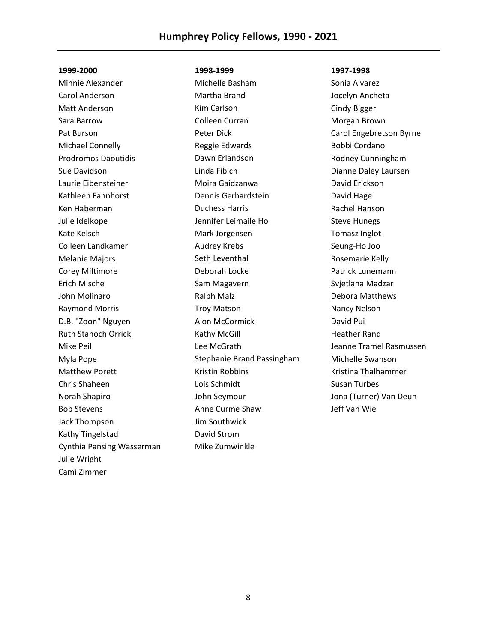Minnie Alexander Carol Anderson Matt Anderson Sara Barrow Pat Burson Michael Connelly Prodromos Daoutidis Sue Davidson Laurie Eibensteiner Kathleen Fahnhorst Ken Haberman Julie Idelkope Kate Kelsch Colleen Landkamer Melanie Majors Corey Miltimore Erich Mische John Molinaro Raymond Morris D.B. "Zoon" Nguyen Ruth Stanoch Orrick Mike Peil Myla Pope Matthew Porett Chris Shaheen Norah Shapiro Bob Stevens Jack Thompson Kathy Tingelstad Cynthia Pansing Wasserman Julie Wright Cami Zimmer

## **1998-1999**

Michelle Basham Martha Brand Kim Carlson Colleen Curran Peter Dick Reggie Edwards Dawn Erlandson Linda Fibich Moira Gaidzanwa Dennis Gerhardstein Duchess Harris Jennifer Leimaile Ho Mark Jorgensen Audrey Krebs Seth Leventhal Deborah Locke Sam Magavern Ralph Malz Troy Matson Alon McCormick Kathy McGill Lee McGrath Stephanie Brand Passingham Kristin Robbins Lois Schmidt John Seymour Anne Curme Shaw Jim Southwick David Strom Mike Zumwinkle

#### **1997-1998**

Sonia Alvarez Jocelyn Ancheta Cindy Bigger Morgan Brown Carol Engebretson Byrne Bobbi Cordano Rodney Cunningham Dianne Daley Laursen David Erickson David Hage Rachel Hanson Steve Hunegs Tomasz Inglot Seung-Ho Joo Rosemarie Kelly Patrick Lunemann Svjetlana Madzar Debora Matthews Nancy Nelson David Pui Heather Rand Jeanne Tramel Rasmussen Michelle Swanson Kristina Thalhammer Susan Turbes Jona (Turner) Van Deun Jeff Van Wie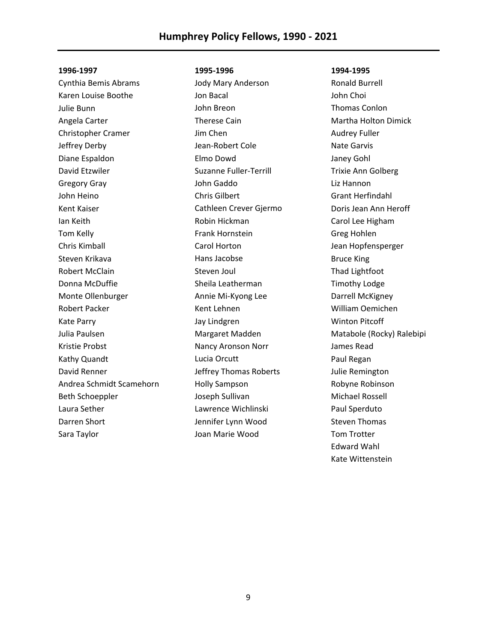Cynthia Bemis Abrams Karen Louise Boothe Julie Bunn Angela Carter Christopher Cramer Jeffrey Derby Diane Espaldon David Etzwiler Gregory Gray John Heino Kent Kaiser Ian Keith Tom Kelly Chris Kimball Steven Krikava Robert McClain Donna McDuffie Monte Ollenburger Robert Packer Kate Parry Julia Paulsen Kristie Probst Kathy Quandt David Renner Andrea Schmidt Scamehorn Beth Schoeppler Laura Sether Darren Short Sara Taylor

#### **1995-1996**

Jody Mary Anderson Jon Bacal John Breon Therese Cain Jim Chen Jean-Robert Cole Elmo Dowd Suzanne Fuller-Terrill John Gaddo Chris Gilbert Cathleen Crever Gjermo Robin Hickman Frank Hornstein Carol Horton Hans Jacobse Steven Joul Sheila Leatherman Annie Mi-Kyong Lee Kent Lehnen Jay Lindgren Margaret Madden Nancy Aronson Norr Lucia Orcutt Jeffrey Thomas Roberts Holly Sampson Joseph Sullivan Lawrence Wichlinski Jennifer Lynn Wood Joan Marie Wood

#### **1994-1995**

Ronald Burrell John Choi Thomas Conlon Martha Holton Dimick Audrey Fuller Nate Garvis Janey Gohl Trixie Ann Golberg Liz Hannon Grant Herfindahl Doris Jean Ann Heroff Carol Lee Higham Greg Hohlen Jean Hopfensperger Bruce King Thad Lightfoot Timothy Lodge Darrell McKigney William Oemichen Winton Pitcoff Matabole (Rocky) Ralebipi James Read Paul Regan Julie Remington Robyne Robinson Michael Rossell Paul Sperduto Steven Thomas Tom Trotter Edward Wahl Kate Wittenstein